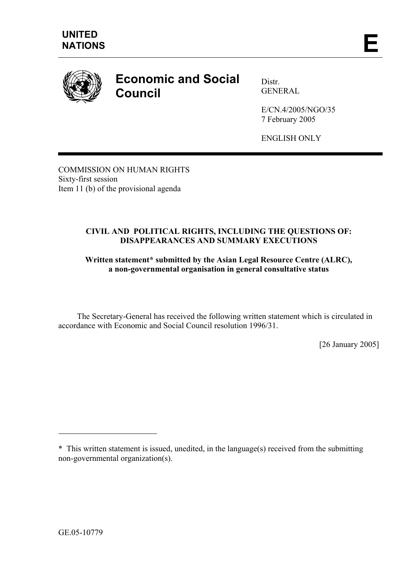

## **Economic and Social Council**

Distr. GENERAL

E/CN.4/2005/NGO/35 7 February 2005

ENGLISH ONLY

COMMISSION ON HUMAN RIGHTS Sixty-first session Item 11 (b) of the provisional agenda

## **CIVIL AND POLITICAL RIGHTS, INCLUDING THE QUESTIONS OF: DISAPPEARANCES AND SUMMARY EXECUTIONS**

## **Written statement\* submitted by the Asian Legal Resource Centre (ALRC), a non-governmental organisation in general consultative status**

 The Secretary-General has received the following written statement which is circulated in accordance with Economic and Social Council resolution 1996/31.

[26 January 2005]

 $\overline{a}$ 

<sup>\*</sup> This written statement is issued, unedited, in the language(s) received from the submitting non-governmental organization(s).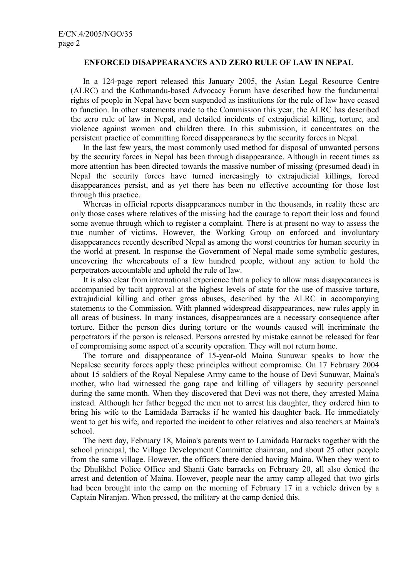## **ENFORCED DISAPPEARANCES AND ZERO RULE OF LAW IN NEPAL**

In a 124-page report released this January 2005, the Asian Legal Resource Centre (ALRC) and the Kathmandu-based Advocacy Forum have described how the fundamental rights of people in Nepal have been suspended as institutions for the rule of law have ceased to function. In other statements made to the Commission this year, the ALRC has described the zero rule of law in Nepal, and detailed incidents of extrajudicial killing, torture, and violence against women and children there. In this submission, it concentrates on the persistent practice of committing forced disappearances by the security forces in Nepal.

In the last few years, the most commonly used method for disposal of unwanted persons by the security forces in Nepal has been through disappearance. Although in recent times as more attention has been directed towards the massive number of missing (presumed dead) in Nepal the security forces have turned increasingly to extrajudicial killings, forced disappearances persist, and as yet there has been no effective accounting for those lost through this practice.

Whereas in official reports disappearances number in the thousands, in reality these are only those cases where relatives of the missing had the courage to report their loss and found some avenue through which to register a complaint. There is at present no way to assess the true number of victims. However, the Working Group on enforced and involuntary disappearances recently described Nepal as among the worst countries for human security in the world at present. In response the Government of Nepal made some symbolic gestures, uncovering the whereabouts of a few hundred people, without any action to hold the perpetrators accountable and uphold the rule of law.

It is also clear from international experience that a policy to allow mass disappearances is accompanied by tacit approval at the highest levels of state for the use of massive torture, extrajudicial killing and other gross abuses, described by the ALRC in accompanying statements to the Commission. With planned widespread disappearances, new rules apply in all areas of business. In many instances, disappearances are a necessary consequence after torture. Either the person dies during torture or the wounds caused will incriminate the perpetrators if the person is released. Persons arrested by mistake cannot be released for fear of compromising some aspect of a security operation. They will not return home.

The torture and disappearance of 15-year-old Maina Sunuwar speaks to how the Nepalese security forces apply these principles without compromise. On 17 February 2004 about 15 soldiers of the Royal Nepalese Army came to the house of Devi Sunuwar, Maina's mother, who had witnessed the gang rape and killing of villagers by security personnel during the same month. When they discovered that Devi was not there, they arrested Maina instead. Although her father begged the men not to arrest his daughter, they ordered him to bring his wife to the Lamidada Barracks if he wanted his daughter back. He immediately went to get his wife, and reported the incident to other relatives and also teachers at Maina's school.

The next day, February 18, Maina's parents went to Lamidada Barracks together with the school principal, the Village Development Committee chairman, and about 25 other people from the same village. However, the officers there denied having Maina. When they went to the Dhulikhel Police Office and Shanti Gate barracks on February 20, all also denied the arrest and detention of Maina. However, people near the army camp alleged that two girls had been brought into the camp on the morning of February 17 in a vehicle driven by a Captain Niranjan. When pressed, the military at the camp denied this.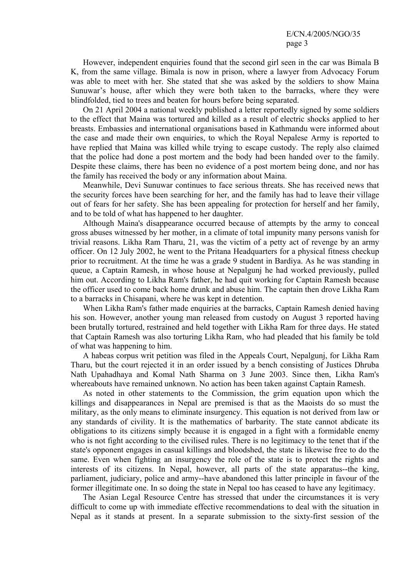However, independent enquiries found that the second girl seen in the car was Bimala B K, from the same village. Bimala is now in prison, where a lawyer from Advocacy Forum was able to meet with her. She stated that she was asked by the soldiers to show Maina Sunuwar's house, after which they were both taken to the barracks, where they were blindfolded, tied to trees and beaten for hours before being separated.

On 21 April 2004 a national weekly published a letter reportedly signed by some soldiers to the effect that Maina was tortured and killed as a result of electric shocks applied to her breasts. Embassies and international organisations based in Kathmandu were informed about the case and made their own enquiries, to which the Royal Nepalese Army is reported to have replied that Maina was killed while trying to escape custody. The reply also claimed that the police had done a post mortem and the body had been handed over to the family. Despite these claims, there has been no evidence of a post mortem being done, and nor has the family has received the body or any information about Maina.

Meanwhile, Devi Sunuwar continues to face serious threats. She has received news that the security forces have been searching for her, and the family has had to leave their village out of fears for her safety. She has been appealing for protection for herself and her family, and to be told of what has happened to her daughter.

Although Maina's disappearance occurred because of attempts by the army to conceal gross abuses witnessed by her mother, in a climate of total impunity many persons vanish for trivial reasons. Likha Ram Tharu, 21, was the victim of a petty act of revenge by an army officer. On 12 July 2002, he went to the Pritana Headquarters for a physical fitness checkup prior to recruitment. At the time he was a grade 9 student in Bardiya. As he was standing in queue, a Captain Ramesh, in whose house at Nepalgunj he had worked previously, pulled him out. According to Likha Ram's father, he had quit working for Captain Ramesh because the officer used to come back home drunk and abuse him. The captain then drove Likha Ram to a barracks in Chisapani, where he was kept in detention.

When Likha Ram's father made enquiries at the barracks, Captain Ramesh denied having his son. However, another young man released from custody on August 3 reported having been brutally tortured, restrained and held together with Likha Ram for three days. He stated that Captain Ramesh was also torturing Likha Ram, who had pleaded that his family be told of what was happening to him.

A habeas corpus writ petition was filed in the Appeals Court, Nepalgunj, for Likha Ram Tharu, but the court rejected it in an order issued by a bench consisting of Justices Dhruba Nath Upahadhaya and Komal Nath Sharma on 3 June 2003. Since then, Likha Ram's whereabouts have remained unknown. No action has been taken against Captain Ramesh.

As noted in other statements to the Commission, the grim equation upon which the killings and disappearances in Nepal are premised is that as the Maoists do so must the military, as the only means to eliminate insurgency. This equation is not derived from law or any standards of civility. It is the mathematics of barbarity. The state cannot abdicate its obligations to its citizens simply because it is engaged in a fight with a formidable enemy who is not fight according to the civilised rules. There is no legitimacy to the tenet that if the state's opponent engages in casual killings and bloodshed, the state is likewise free to do the same. Even when fighting an insurgency the role of the state is to protect the rights and interests of its citizens. In Nepal, however, all parts of the state apparatus--the king, parliament, judiciary, police and army--have abandoned this latter principle in favour of the former illegitimate one. In so doing the state in Nepal too has ceased to have any legitimacy.

The Asian Legal Resource Centre has stressed that under the circumstances it is very difficult to come up with immediate effective recommendations to deal with the situation in Nepal as it stands at present. In a separate submission to the sixty-first session of the